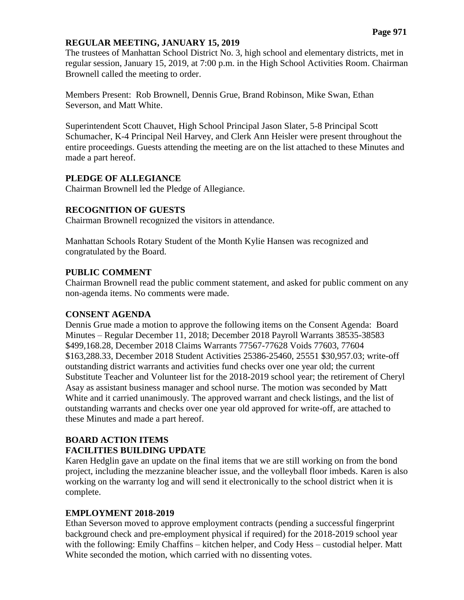### **REGULAR MEETING, JANUARY 15, 2019**

The trustees of Manhattan School District No. 3, high school and elementary districts, met in regular session, January 15, 2019, at 7:00 p.m. in the High School Activities Room. Chairman Brownell called the meeting to order.

Members Present: Rob Brownell, Dennis Grue, Brand Robinson, Mike Swan, Ethan Severson, and Matt White.

Superintendent Scott Chauvet, High School Principal Jason Slater, 5-8 Principal Scott Schumacher, K-4 Principal Neil Harvey, and Clerk Ann Heisler were present throughout the entire proceedings. Guests attending the meeting are on the list attached to these Minutes and made a part hereof.

### **PLEDGE OF ALLEGIANCE**

Chairman Brownell led the Pledge of Allegiance.

### **RECOGNITION OF GUESTS**

Chairman Brownell recognized the visitors in attendance.

Manhattan Schools Rotary Student of the Month Kylie Hansen was recognized and congratulated by the Board.

### **PUBLIC COMMENT**

Chairman Brownell read the public comment statement, and asked for public comment on any non-agenda items. No comments were made.

#### **CONSENT AGENDA**

Dennis Grue made a motion to approve the following items on the Consent Agenda: Board Minutes – Regular December 11, 2018; December 2018 Payroll Warrants 38535-38583 \$499,168.28, December 2018 Claims Warrants 77567-77628 Voids 77603, 77604 \$163,288.33, December 2018 Student Activities 25386-25460, 25551 \$30,957.03; write-off outstanding district warrants and activities fund checks over one year old; the current Substitute Teacher and Volunteer list for the 2018-2019 school year; the retirement of Cheryl Asay as assistant business manager and school nurse. The motion was seconded by Matt White and it carried unanimously. The approved warrant and check listings, and the list of outstanding warrants and checks over one year old approved for write-off, are attached to these Minutes and made a part hereof.

# **BOARD ACTION ITEMS FACILITIES BUILDING UPDATE**

Karen Hedglin gave an update on the final items that we are still working on from the bond project, including the mezzanine bleacher issue, and the volleyball floor imbeds. Karen is also working on the warranty log and will send it electronically to the school district when it is complete.

## **EMPLOYMENT 2018-2019**

Ethan Severson moved to approve employment contracts (pending a successful fingerprint background check and pre-employment physical if required) for the 2018-2019 school year with the following: Emily Chaffins – kitchen helper, and Cody Hess – custodial helper. Matt White seconded the motion, which carried with no dissenting votes.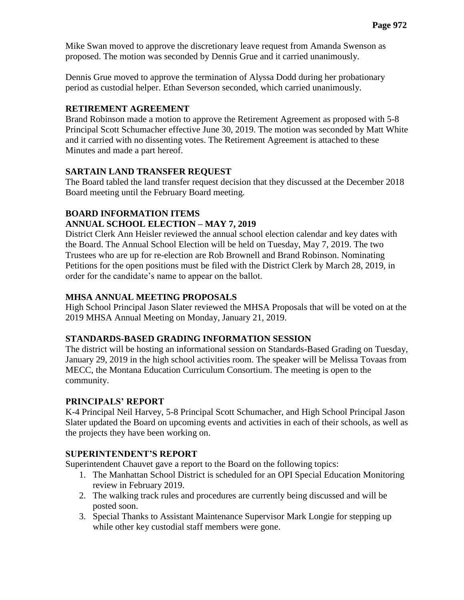Mike Swan moved to approve the discretionary leave request from Amanda Swenson as proposed. The motion was seconded by Dennis Grue and it carried unanimously.

Dennis Grue moved to approve the termination of Alyssa Dodd during her probationary period as custodial helper. Ethan Severson seconded, which carried unanimously.

# **RETIREMENT AGREEMENT**

Brand Robinson made a motion to approve the Retirement Agreement as proposed with 5-8 Principal Scott Schumacher effective June 30, 2019. The motion was seconded by Matt White and it carried with no dissenting votes. The Retirement Agreement is attached to these Minutes and made a part hereof.

# **SARTAIN LAND TRANSFER REQUEST**

The Board tabled the land transfer request decision that they discussed at the December 2018 Board meeting until the February Board meeting.

# **BOARD INFORMATION ITEMS**

# **ANNUAL SCHOOL ELECTION – MAY 7, 2019**

District Clerk Ann Heisler reviewed the annual school election calendar and key dates with the Board. The Annual School Election will be held on Tuesday, May 7, 2019. The two Trustees who are up for re-election are Rob Brownell and Brand Robinson. Nominating Petitions for the open positions must be filed with the District Clerk by March 28, 2019, in order for the candidate's name to appear on the ballot.

## **MHSA ANNUAL MEETING PROPOSALS**

High School Principal Jason Slater reviewed the MHSA Proposals that will be voted on at the 2019 MHSA Annual Meeting on Monday, January 21, 2019.

## **STANDARDS-BASED GRADING INFORMATION SESSION**

The district will be hosting an informational session on Standards-Based Grading on Tuesday, January 29, 2019 in the high school activities room. The speaker will be Melissa Tovaas from MECC, the Montana Education Curriculum Consortium. The meeting is open to the community.

## **PRINCIPALS' REPORT**

K-4 Principal Neil Harvey, 5-8 Principal Scott Schumacher, and High School Principal Jason Slater updated the Board on upcoming events and activities in each of their schools, as well as the projects they have been working on.

## **SUPERINTENDENT'S REPORT**

Superintendent Chauvet gave a report to the Board on the following topics:

- 1. The Manhattan School District is scheduled for an OPI Special Education Monitoring review in February 2019.
- 2. The walking track rules and procedures are currently being discussed and will be posted soon.
- 3. Special Thanks to Assistant Maintenance Supervisor Mark Longie for stepping up while other key custodial staff members were gone.